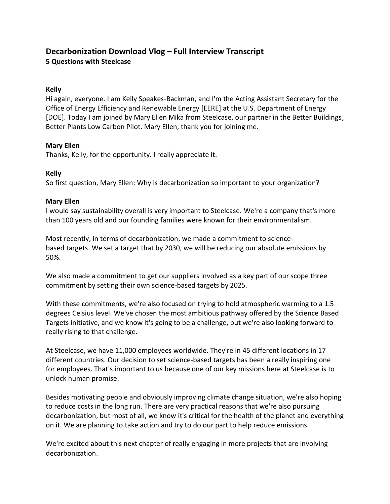# **Decarbonization Download Vlog – Full Interview Transcript 5 Questions with Steelcase**

# **Kelly**

Hi again, everyone. I am Kelly Speakes-Backman, and I'm the Acting Assistant Secretary for the Office of Energy Efficiency and Renewable Energy [EERE] at the U.S. Department of Energy [DOE]. Today I am joined by Mary Ellen Mika from Steelcase, our partner in the Better Buildings, Better Plants Low Carbon Pilot. Mary Ellen, thank you for joining me.

# **Mary Ellen**

Thanks, Kelly, for the opportunity. I really appreciate it.

#### **Kelly**

So first question, Mary Ellen: Why is decarbonization so important to your organization?

#### **Mary Ellen**

I would say sustainability overall is very important to Steelcase. We're a company that's more than 100 years old and our founding families were known for their environmentalism.

Most recently, in terms of decarbonization, we made a commitment to sciencebased targets. We set a target that by 2030, we will be reducing our absolute emissions by 50%.

We also made a commitment to get our suppliers involved as a key part of our scope three commitment by setting their own science-based targets by 2025.

With these commitments, we're also focused on trying to hold atmospheric warming to a 1.5 degrees Celsius level. We've chosen the most ambitious pathway offered by the Science Based Targets initiative, and we know it's going to be a challenge, but we're also looking forward to really rising to that challenge.

At Steelcase, we have 11,000 employees worldwide. They're in 45 different locations in 17 different countries. Our decision to set science-based targets has been a really inspiring one for employees. That's important to us because one of our key missions here at Steelcase is to unlock human promise.

Besides motivating people and obviously improving climate change situation, we're also hoping to reduce costs in the long run. There are very practical reasons that we're also pursuing decarbonization, but most of all, we know it's critical for the health of the planet and everything on it. We are planning to take action and try to do our part to help reduce emissions.

We're excited about this next chapter of really engaging in more projects that are involving decarbonization.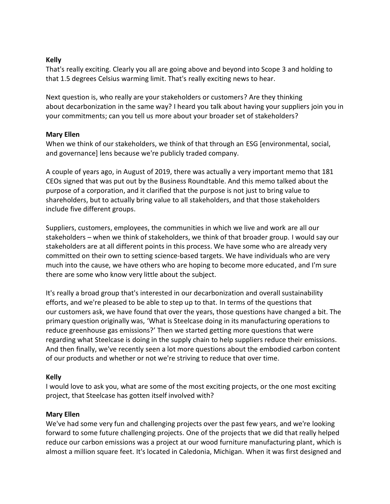# **Kelly**

That's really exciting. Clearly you all are going above and beyond into Scope 3 and holding to that 1.5 degrees Celsius warming limit. That's really exciting news to hear.

Next question is, who really are your stakeholders or customers? Are they thinking about decarbonization in the same way? I heard you talk about having your suppliers join you in your commitments; can you tell us more about your broader set of stakeholders?

# **Mary Ellen**

When we think of our stakeholders, we think of that through an ESG [environmental, social, and governance] lens because we're publicly traded company.

A couple of years ago, in August of 2019, there was actually a very important memo that 181 CEOs signed that was put out by the Business Roundtable. And this memo talked about the purpose of a corporation, and it clarified that the purpose is not just to bring value to shareholders, but to actually bring value to all stakeholders, and that those stakeholders include five different groups.

Suppliers, customers, employees, the communities in which we live and work are all our stakeholders – when we think of stakeholders, we think of that broader group. I would say our stakeholders are at all different points in this process. We have some who are already very committed on their own to setting science-based targets. We have individuals who are very much into the cause, we have others who are hoping to become more educated, and I'm sure there are some who know very little about the subject.

It's really a broad group that's interested in our decarbonization and overall sustainability efforts, and we're pleased to be able to step up to that. In terms of the questions that our customers ask, we have found that over the years, those questions have changed a bit. The primary question originally was, 'What is Steelcase doing in its manufacturing operations to reduce greenhouse gas emissions?' Then we started getting more questions that were regarding what Steelcase is doing in the supply chain to help suppliers reduce their emissions. And then finally, we've recently seen a lot more questions about the embodied carbon content of our products and whether or not we're striving to reduce that over time.

# **Kelly**

I would love to ask you, what are some of the most exciting projects, or the one most exciting project, that Steelcase has gotten itself involved with?

# **Mary Ellen**

We've had some very fun and challenging projects over the past few years, and we're looking forward to some future challenging projects. One of the projects that we did that really helped reduce our carbon emissions was a project at our wood furniture manufacturing plant, which is almost a million square feet. It's located in Caledonia, Michigan. When it was first designed and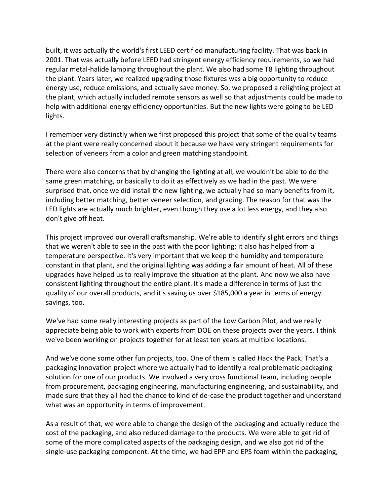built, it was actually the world's first LEED certified manufacturing facility. That was back in 2001. That was actually before LEED had stringent energy efficiency requirements, so we had regular metal-halide lamping throughout the plant. We also had some T8 lighting throughout the plant. Years later, we realized upgrading those fixtures was a big opportunity to reduce energy use, reduce emissions, and actually save money. So, we proposed a relighting project at the plant, which actually included remote sensors as well so that adjustments could be made to help with additional energy efficiency opportunities. But the new lights were going to be LED lights.

I remember very distinctly when we first proposed this project that some of the quality teams at the plant were really concerned about it because we have very stringent requirements for selection of veneers from a color and green matching standpoint.

There were also concerns that by changing the lighting at all, we wouldn't be able to do the same green matching, or basically to do it as effectively as we had in the past. We were surprised that, once we did install the new lighting, we actually had so many benefits from it, including better matching, better veneer selection, and grading. The reason for that was the LED lights are actually much brighter, even though they use a lot less energy, and they also don't give off heat.

This project improved our overall craftsmanship. We're able to identify slight errors and things that we weren't able to see in the past with the poor lighting; it also has helped from a temperature perspective. It's very important that we keep the humidity and temperature constant in that plant, and the original lighting was adding a fair amount of heat. All of these upgrades have helped us to really improve the situation at the plant. And now we also have consistent lighting throughout the entire plant. It's made a difference in terms of just the quality of our overall products, and it's saving us over \$185,000 a year in terms of energy savings, too.

We've had some really interesting projects as part of the Low Carbon Pilot, and we really appreciate being able to work with experts from DOE on these projects over the years. I think we've been working on projects together for at least ten years at multiple locations.

And we've done some other fun projects, too. One of them is called Hack the Pack. That's a packaging innovation project where we actually had to identify a real problematic packaging solution for one of our products. We involved a very cross functional team, including people from procurement, packaging engineering, manufacturing engineering, and sustainability, and made sure that they all had the chance to kind of de-case the product together and understand what was an opportunity in terms of improvement.

As a result of that, we were able to change the design of the packaging and actually reduce the cost of the packaging, and also reduced damage to the products. We were able to get rid of some of the more complicated aspects of the packaging design, and we also got rid of the single-use packaging component. At the time, we had EPP and EPS foam within the packaging,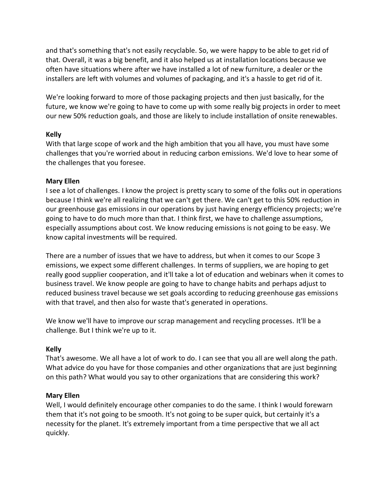and that's something that's not easily recyclable. So, we were happy to be able to get rid of that. Overall, it was a big benefit, and it also helped us at installation locations because we often have situations where after we have installed a lot of new furniture, a dealer or the installers are left with volumes and volumes of packaging, and it's a hassle to get rid of it.

We're looking forward to more of those packaging projects and then just basically, for the future, we know we're going to have to come up with some really big projects in order to meet our new 50% reduction goals, and those are likely to include installation of onsite renewables.

# **Kelly**

With that large scope of work and the high ambition that you all have, you must have some challenges that you're worried about in reducing carbon emissions. We'd love to hear some of the challenges that you foresee.

#### **Mary Ellen**

I see a lot of challenges. I know the project is pretty scary to some of the folks out in operations because I think we're all realizing that we can't get there. We can't get to this 50% reduction in our greenhouse gas emissions in our operations by just having energy efficiency projects; we're going to have to do much more than that. I think first, we have to challenge assumptions, especially assumptions about cost. We know reducing emissions is not going to be easy. We know capital investments will be required.

There are a number of issues that we have to address, but when it comes to our Scope 3 emissions, we expect some different challenges. In terms of suppliers, we are hoping to get really good supplier cooperation, and it'll take a lot of education and webinars when it comes to business travel. We know people are going to have to change habits and perhaps adjust to reduced business travel because we set goals according to reducing greenhouse gas emissions with that travel, and then also for waste that's generated in operations.

We know we'll have to improve our scrap management and recycling processes. It'll be a challenge. But I think we're up to it.

# **Kelly**

That's awesome. We all have a lot of work to do. I can see that you all are well along the path. What advice do you have for those companies and other organizations that are just beginning on this path? What would you say to other organizations that are considering this work?

# **Mary Ellen**

Well, I would definitely encourage other companies to do the same. I think I would forewarn them that it's not going to be smooth. It's not going to be super quick, but certainly it's a necessity for the planet. It's extremely important from a time perspective that we all act quickly.